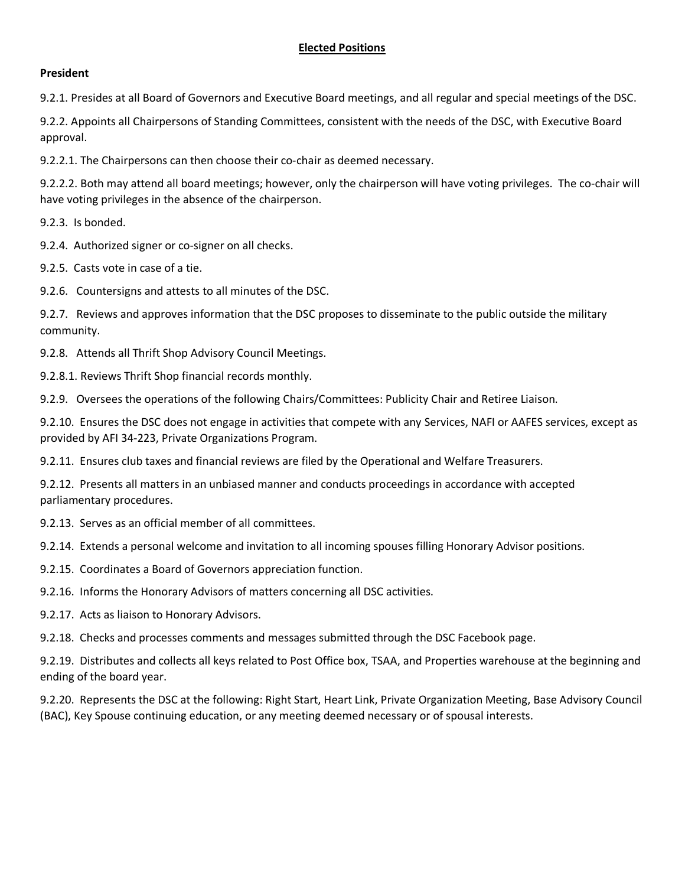### **President**

9.2.1. Presides at all Board of Governors and Executive Board meetings, and all regular and special meetings of the DSC.

9.2.2. Appoints all Chairpersons of Standing Committees, consistent with the needs of the DSC, with Executive Board approval.

9.2.2.1. The Chairpersons can then choose their co-chair as deemed necessary.

9.2.2.2. Both may attend all board meetings; however, only the chairperson will have voting privileges. The co-chair will have voting privileges in the absence of the chairperson.

9.2.3. Is bonded.

- 9.2.4. Authorized signer or co-signer on all checks.
- 9.2.5. Casts vote in case of a tie.
- 9.2.6. Countersigns and attests to all minutes of the DSC.

9.2.7. Reviews and approves information that the DSC proposes to disseminate to the public outside the military community.

9.2.8. Attends all Thrift Shop Advisory Council Meetings.

9.2.8.1. Reviews Thrift Shop financial records monthly.

9.2.9. Oversees the operations of the following Chairs/Committees: Publicity Chair and Retiree Liaison.

9.2.10. Ensures the DSC does not engage in activities that compete with any Services, NAFI or AAFES services, except as provided by AFI 34-223, Private Organizations Program.

9.2.11. Ensures club taxes and financial reviews are filed by the Operational and Welfare Treasurers.

9.2.12. Presents all matters in an unbiased manner and conducts proceedings in accordance with accepted parliamentary procedures.

9.2.13. Serves as an official member of all committees.

9.2.14. Extends a personal welcome and invitation to all incoming spouses filling Honorary Advisor positions.

- 9.2.15. Coordinates a Board of Governors appreciation function.
- 9.2.16. Informs the Honorary Advisors of matters concerning all DSC activities.
- 9.2.17. Acts as liaison to Honorary Advisors.

9.2.18. Checks and processes comments and messages submitted through the DSC Facebook page.

9.2.19. Distributes and collects all keys related to Post Office box, TSAA, and Properties warehouse at the beginning and ending of the board year.

9.2.20. Represents the DSC at the following: Right Start, Heart Link, Private Organization Meeting, Base Advisory Council (BAC), Key Spouse continuing education, or any meeting deemed necessary or of spousal interests.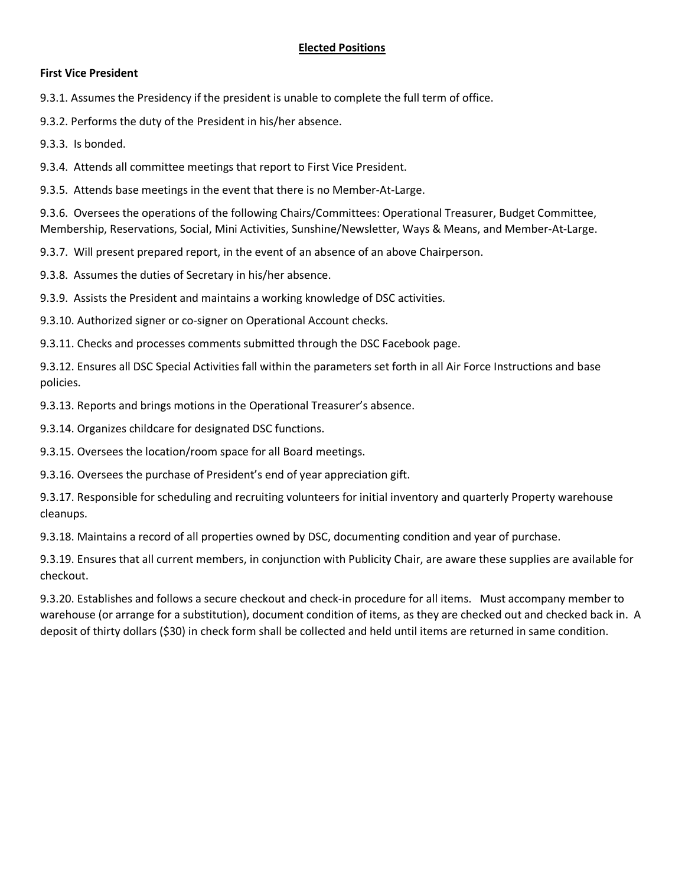#### **First Vice President**

9.3.1. Assumes the Presidency if the president is unable to complete the full term of office.

9.3.2. Performs the duty of the President in his/her absence.

9.3.3. Is bonded.

9.3.4. Attends all committee meetings that report to First Vice President.

9.3.5. Attends base meetings in the event that there is no Member-At-Large.

9.3.6. Oversees the operations of the following Chairs/Committees: Operational Treasurer, Budget Committee, Membership, Reservations, Social, Mini Activities, Sunshine/Newsletter, Ways & Means, and Member-At-Large.

9.3.7. Will present prepared report, in the event of an absence of an above Chairperson.

9.3.8. Assumes the duties of Secretary in his/her absence.

9.3.9. Assists the President and maintains a working knowledge of DSC activities.

9.3.10. Authorized signer or co-signer on Operational Account checks.

9.3.11. Checks and processes comments submitted through the DSC Facebook page.

9.3.12. Ensures all DSC Special Activities fall within the parameters set forth in all Air Force Instructions and base policies.

9.3.13. Reports and brings motions in the Operational Treasurer's absence.

9.3.14. Organizes childcare for designated DSC functions.

9.3.15. Oversees the location/room space for all Board meetings.

9.3.16. Oversees the purchase of President's end of year appreciation gift.

9.3.17. Responsible for scheduling and recruiting volunteers for initial inventory and quarterly Property warehouse cleanups.

9.3.18. Maintains a record of all properties owned by DSC, documenting condition and year of purchase.

9.3.19. Ensures that all current members, in conjunction with Publicity Chair, are aware these supplies are available for checkout.

9.3.20. Establishes and follows a secure checkout and check-in procedure for all items. Must accompany member to warehouse (or arrange for a substitution), document condition of items, as they are checked out and checked back in. A deposit of thirty dollars (\$30) in check form shall be collected and held until items are returned in same condition.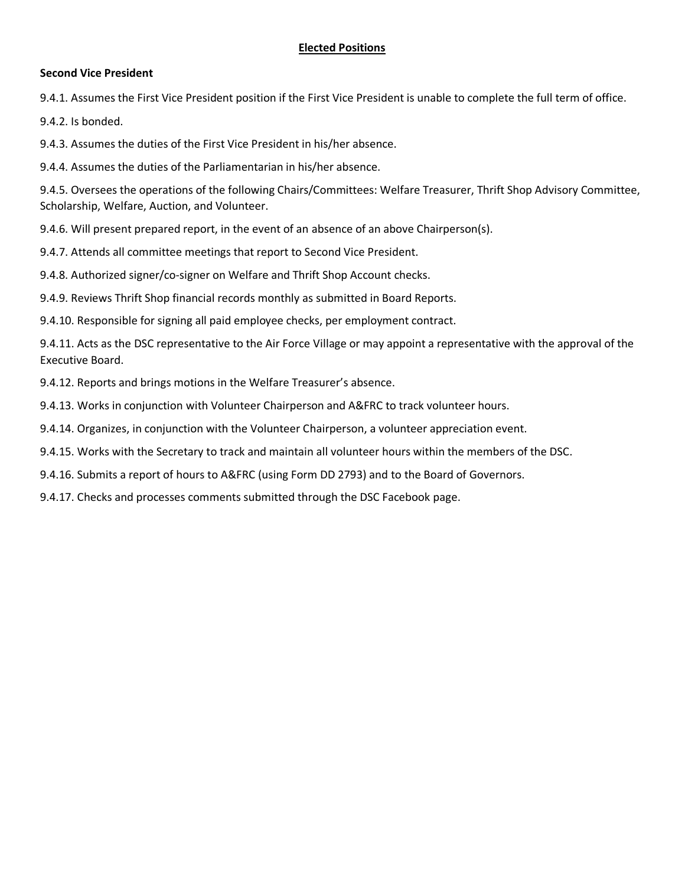### **Second Vice President**

9.4.1. Assumes the First Vice President position if the First Vice President is unable to complete the full term of office.

9.4.2. Is bonded.

9.4.3. Assumes the duties of the First Vice President in his/her absence.

9.4.4. Assumes the duties of the Parliamentarian in his/her absence.

9.4.5. Oversees the operations of the following Chairs/Committees: Welfare Treasurer, Thrift Shop Advisory Committee, Scholarship, Welfare, Auction, and Volunteer.

9.4.6. Will present prepared report, in the event of an absence of an above Chairperson(s).

9.4.7. Attends all committee meetings that report to Second Vice President.

9.4.8. Authorized signer/co-signer on Welfare and Thrift Shop Account checks.

9.4.9. Reviews Thrift Shop financial records monthly as submitted in Board Reports.

9.4.10. Responsible for signing all paid employee checks, per employment contract.

9.4.11. Acts as the DSC representative to the Air Force Village or may appoint a representative with the approval of the Executive Board.

9.4.12. Reports and brings motions in the Welfare Treasurer's absence.

9.4.13. Works in conjunction with Volunteer Chairperson and A&FRC to track volunteer hours.

9.4.14. Organizes, in conjunction with the Volunteer Chairperson, a volunteer appreciation event.

9.4.15. Works with the Secretary to track and maintain all volunteer hours within the members of the DSC.

9.4.16. Submits a report of hours to A&FRC (using Form DD 2793) and to the Board of Governors.

9.4.17. Checks and processes comments submitted through the DSC Facebook page.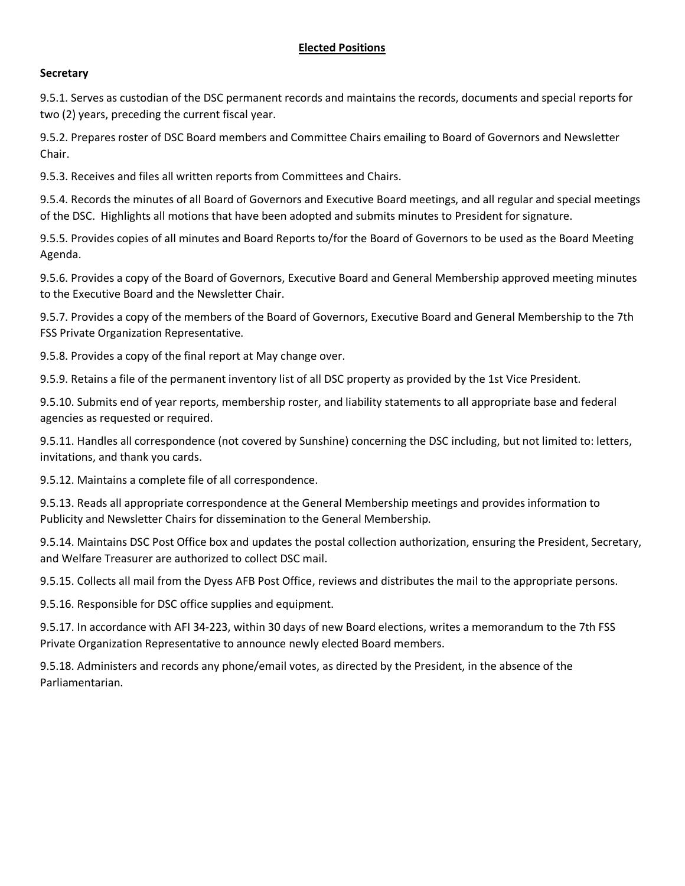## **Secretary**

9.5.1. Serves as custodian of the DSC permanent records and maintains the records, documents and special reports for two (2) years, preceding the current fiscal year.

9.5.2. Prepares roster of DSC Board members and Committee Chairs emailing to Board of Governors and Newsletter Chair.

9.5.3. Receives and files all written reports from Committees and Chairs.

9.5.4. Records the minutes of all Board of Governors and Executive Board meetings, and all regular and special meetings of the DSC. Highlights all motions that have been adopted and submits minutes to President for signature.

9.5.5. Provides copies of all minutes and Board Reports to/for the Board of Governors to be used as the Board Meeting Agenda.

9.5.6. Provides a copy of the Board of Governors, Executive Board and General Membership approved meeting minutes to the Executive Board and the Newsletter Chair.

9.5.7. Provides a copy of the members of the Board of Governors, Executive Board and General Membership to the 7th FSS Private Organization Representative.

9.5.8. Provides a copy of the final report at May change over.

9.5.9. Retains a file of the permanent inventory list of all DSC property as provided by the 1st Vice President.

9.5.10. Submits end of year reports, membership roster, and liability statements to all appropriate base and federal agencies as requested or required.

9.5.11. Handles all correspondence (not covered by Sunshine) concerning the DSC including, but not limited to: letters, invitations, and thank you cards.

9.5.12. Maintains a complete file of all correspondence.

9.5.13. Reads all appropriate correspondence at the General Membership meetings and provides information to Publicity and Newsletter Chairs for dissemination to the General Membership.

9.5.14. Maintains DSC Post Office box and updates the postal collection authorization, ensuring the President, Secretary, and Welfare Treasurer are authorized to collect DSC mail.

9.5.15. Collects all mail from the Dyess AFB Post Office, reviews and distributes the mail to the appropriate persons.

9.5.16. Responsible for DSC office supplies and equipment.

9.5.17. In accordance with AFI 34-223, within 30 days of new Board elections, writes a memorandum to the 7th FSS Private Organization Representative to announce newly elected Board members.

9.5.18. Administers and records any phone/email votes, as directed by the President, in the absence of the Parliamentarian.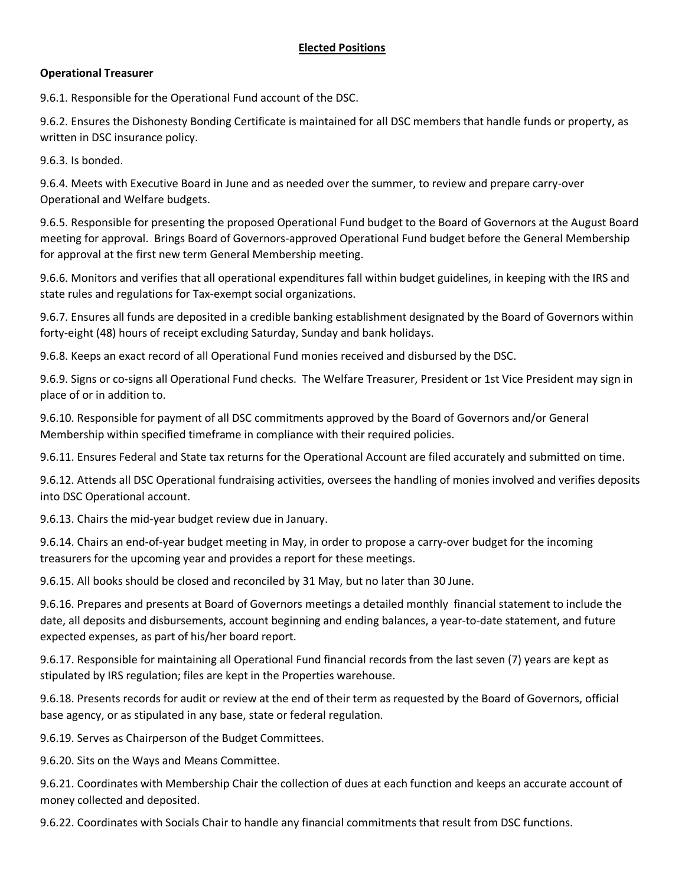## **Operational Treasurer**

9.6.1. Responsible for the Operational Fund account of the DSC.

9.6.2. Ensures the Dishonesty Bonding Certificate is maintained for all DSC members that handle funds or property, as written in DSC insurance policy.

9.6.3. Is bonded.

9.6.4. Meets with Executive Board in June and as needed over the summer, to review and prepare carry-over Operational and Welfare budgets.

9.6.5. Responsible for presenting the proposed Operational Fund budget to the Board of Governors at the August Board meeting for approval. Brings Board of Governors-approved Operational Fund budget before the General Membership for approval at the first new term General Membership meeting.

9.6.6. Monitors and verifies that all operational expenditures fall within budget guidelines, in keeping with the IRS and state rules and regulations for Tax-exempt social organizations.

9.6.7. Ensures all funds are deposited in a credible banking establishment designated by the Board of Governors within forty-eight (48) hours of receipt excluding Saturday, Sunday and bank holidays.

9.6.8. Keeps an exact record of all Operational Fund monies received and disbursed by the DSC.

9.6.9. Signs or co-signs all Operational Fund checks. The Welfare Treasurer, President or 1st Vice President may sign in place of or in addition to.

9.6.10. Responsible for payment of all DSC commitments approved by the Board of Governors and/or General Membership within specified timeframe in compliance with their required policies.

9.6.11. Ensures Federal and State tax returns for the Operational Account are filed accurately and submitted on time.

9.6.12. Attends all DSC Operational fundraising activities, oversees the handling of monies involved and verifies deposits into DSC Operational account.

9.6.13. Chairs the mid-year budget review due in January.

9.6.14. Chairs an end-of-year budget meeting in May, in order to propose a carry-over budget for the incoming treasurers for the upcoming year and provides a report for these meetings.

9.6.15. All books should be closed and reconciled by 31 May, but no later than 30 June.

9.6.16. Prepares and presents at Board of Governors meetings a detailed monthly financial statement to include the date, all deposits and disbursements, account beginning and ending balances, a year-to-date statement, and future expected expenses, as part of his/her board report.

9.6.17. Responsible for maintaining all Operational Fund financial records from the last seven (7) years are kept as stipulated by IRS regulation; files are kept in the Properties warehouse.

9.6.18. Presents records for audit or review at the end of their term as requested by the Board of Governors, official base agency, or as stipulated in any base, state or federal regulation.

9.6.19. Serves as Chairperson of the Budget Committees.

9.6.20. Sits on the Ways and Means Committee.

9.6.21. Coordinates with Membership Chair the collection of dues at each function and keeps an accurate account of money collected and deposited.

9.6.22. Coordinates with Socials Chair to handle any financial commitments that result from DSC functions.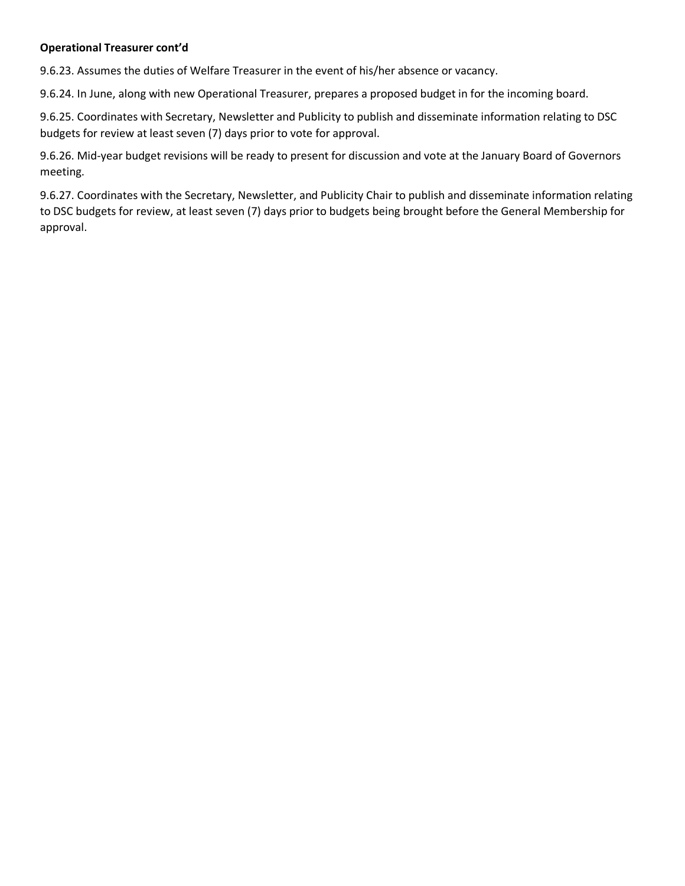# **Operational Treasurer cont'd**

9.6.23. Assumes the duties of Welfare Treasurer in the event of his/her absence or vacancy.

9.6.24. In June, along with new Operational Treasurer, prepares a proposed budget in for the incoming board.

9.6.25. Coordinates with Secretary, Newsletter and Publicity to publish and disseminate information relating to DSC budgets for review at least seven (7) days prior to vote for approval.

9.6.26. Mid-year budget revisions will be ready to present for discussion and vote at the January Board of Governors meeting.

9.6.27. Coordinates with the Secretary, Newsletter, and Publicity Chair to publish and disseminate information relating to DSC budgets for review, at least seven (7) days prior to budgets being brought before the General Membership for approval.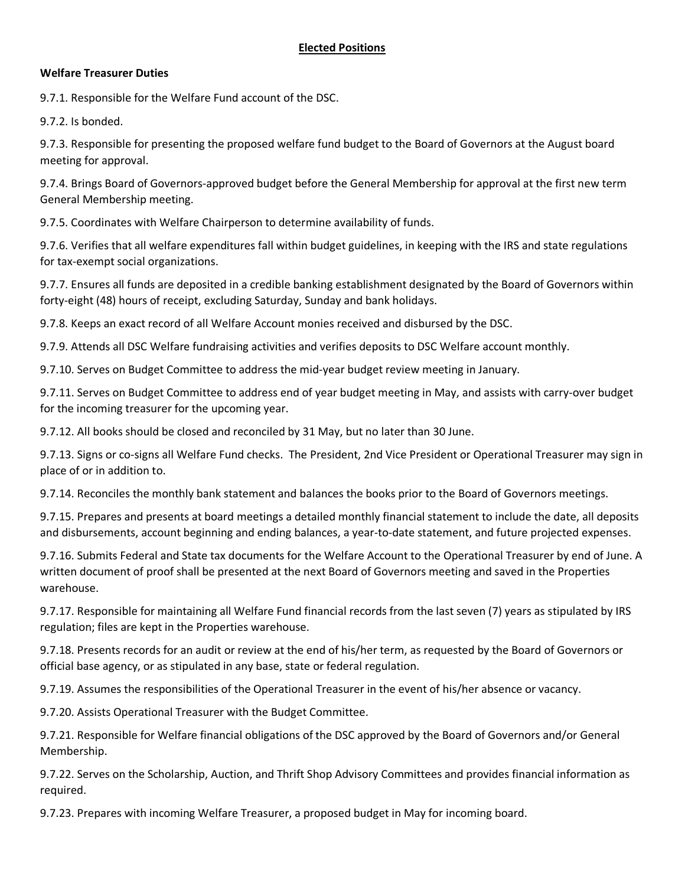### **Welfare Treasurer Duties**

9.7.1. Responsible for the Welfare Fund account of the DSC.

9.7.2. Is bonded.

9.7.3. Responsible for presenting the proposed welfare fund budget to the Board of Governors at the August board meeting for approval.

9.7.4. Brings Board of Governors-approved budget before the General Membership for approval at the first new term General Membership meeting.

9.7.5. Coordinates with Welfare Chairperson to determine availability of funds.

9.7.6. Verifies that all welfare expenditures fall within budget guidelines, in keeping with the IRS and state regulations for tax-exempt social organizations.

9.7.7. Ensures all funds are deposited in a credible banking establishment designated by the Board of Governors within forty-eight (48) hours of receipt, excluding Saturday, Sunday and bank holidays.

9.7.8. Keeps an exact record of all Welfare Account monies received and disbursed by the DSC.

9.7.9. Attends all DSC Welfare fundraising activities and verifies deposits to DSC Welfare account monthly.

9.7.10. Serves on Budget Committee to address the mid-year budget review meeting in January.

9.7.11. Serves on Budget Committee to address end of year budget meeting in May, and assists with carry-over budget for the incoming treasurer for the upcoming year.

9.7.12. All books should be closed and reconciled by 31 May, but no later than 30 June.

9.7.13. Signs or co-signs all Welfare Fund checks. The President, 2nd Vice President or Operational Treasurer may sign in place of or in addition to.

9.7.14. Reconciles the monthly bank statement and balances the books prior to the Board of Governors meetings.

9.7.15. Prepares and presents at board meetings a detailed monthly financial statement to include the date, all deposits and disbursements, account beginning and ending balances, a year-to-date statement, and future projected expenses.

9.7.16. Submits Federal and State tax documents for the Welfare Account to the Operational Treasurer by end of June. A written document of proof shall be presented at the next Board of Governors meeting and saved in the Properties warehouse.

9.7.17. Responsible for maintaining all Welfare Fund financial records from the last seven (7) years as stipulated by IRS regulation; files are kept in the Properties warehouse.

9.7.18. Presents records for an audit or review at the end of his/her term, as requested by the Board of Governors or official base agency, or as stipulated in any base, state or federal regulation.

9.7.19. Assumes the responsibilities of the Operational Treasurer in the event of his/her absence or vacancy.

9.7.20. Assists Operational Treasurer with the Budget Committee.

9.7.21. Responsible for Welfare financial obligations of the DSC approved by the Board of Governors and/or General Membership.

9.7.22. Serves on the Scholarship, Auction, and Thrift Shop Advisory Committees and provides financial information as required.

9.7.23. Prepares with incoming Welfare Treasurer, a proposed budget in May for incoming board.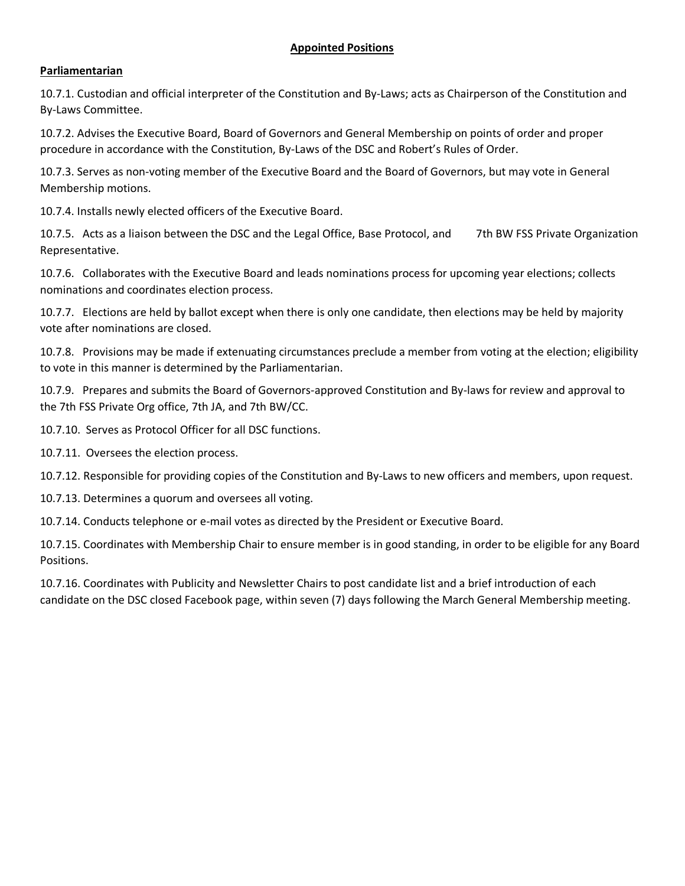# **Parliamentarian**

10.7.1. Custodian and official interpreter of the Constitution and By-Laws; acts as Chairperson of the Constitution and By-Laws Committee.

10.7.2. Advises the Executive Board, Board of Governors and General Membership on points of order and proper procedure in accordance with the Constitution, By-Laws of the DSC and Robert's Rules of Order.

10.7.3. Serves as non-voting member of the Executive Board and the Board of Governors, but may vote in General Membership motions.

10.7.4. Installs newly elected officers of the Executive Board.

10.7.5. Acts as a liaison between the DSC and the Legal Office, Base Protocol, and 7th BW FSS Private Organization Representative.

10.7.6. Collaborates with the Executive Board and leads nominations process for upcoming year elections; collects nominations and coordinates election process.

10.7.7. Elections are held by ballot except when there is only one candidate, then elections may be held by majority vote after nominations are closed.

10.7.8. Provisions may be made if extenuating circumstances preclude a member from voting at the election; eligibility to vote in this manner is determined by the Parliamentarian.

10.7.9. Prepares and submits the Board of Governors-approved Constitution and By-laws for review and approval to the 7th FSS Private Org office, 7th JA, and 7th BW/CC.

10.7.10. Serves as Protocol Officer for all DSC functions.

10.7.11. Oversees the election process.

10.7.12. Responsible for providing copies of the Constitution and By-Laws to new officers and members, upon request.

10.7.13. Determines a quorum and oversees all voting.

10.7.14. Conducts telephone or e-mail votes as directed by the President or Executive Board.

10.7.15. Coordinates with Membership Chair to ensure member is in good standing, in order to be eligible for any Board Positions.

10.7.16. Coordinates with Publicity and Newsletter Chairs to post candidate list and a brief introduction of each candidate on the DSC closed Facebook page, within seven (7) days following the March General Membership meeting.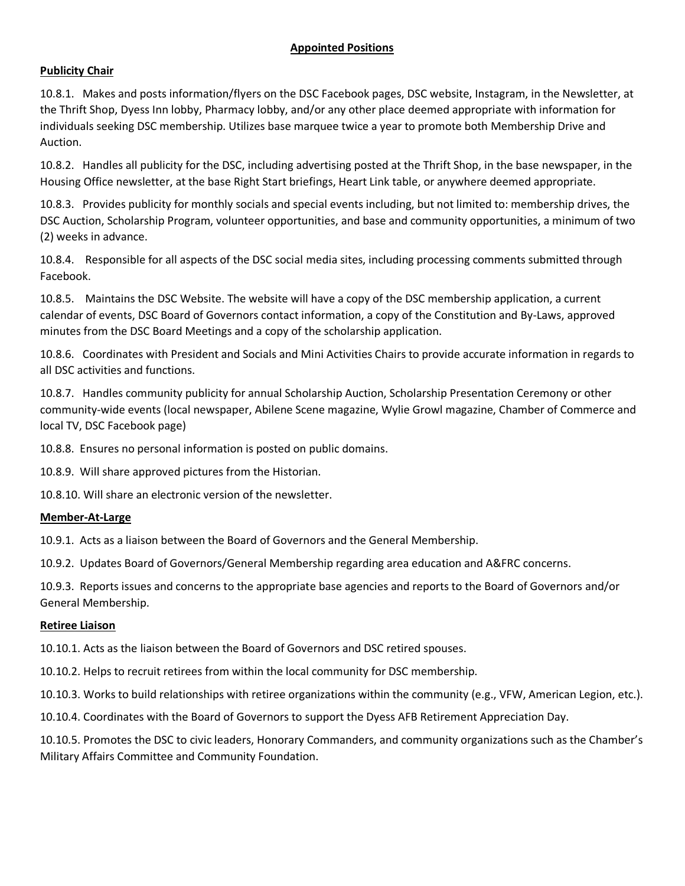# **Publicity Chair**

10.8.1. Makes and posts information/flyers on the DSC Facebook pages, DSC website, Instagram, in the Newsletter, at the Thrift Shop, Dyess Inn lobby, Pharmacy lobby, and/or any other place deemed appropriate with information for individuals seeking DSC membership. Utilizes base marquee twice a year to promote both Membership Drive and Auction.

10.8.2. Handles all publicity for the DSC, including advertising posted at the Thrift Shop, in the base newspaper, in the Housing Office newsletter, at the base Right Start briefings, Heart Link table, or anywhere deemed appropriate.

10.8.3. Provides publicity for monthly socials and special events including, but not limited to: membership drives, the DSC Auction, Scholarship Program, volunteer opportunities, and base and community opportunities, a minimum of two (2) weeks in advance.

10.8.4. Responsible for all aspects of the DSC social media sites, including processing comments submitted through Facebook.

10.8.5. Maintains the DSC Website. The website will have a copy of the DSC membership application, a current calendar of events, DSC Board of Governors contact information, a copy of the Constitution and By-Laws, approved minutes from the DSC Board Meetings and a copy of the scholarship application.

10.8.6. Coordinates with President and Socials and Mini Activities Chairs to provide accurate information in regards to all DSC activities and functions.

10.8.7. Handles community publicity for annual Scholarship Auction, Scholarship Presentation Ceremony or other community-wide events (local newspaper, Abilene Scene magazine, Wylie Growl magazine, Chamber of Commerce and local TV, DSC Facebook page)

10.8.8. Ensures no personal information is posted on public domains.

10.8.9. Will share approved pictures from the Historian.

10.8.10. Will share an electronic version of the newsletter.

### **Member-At-Large**

10.9.1. Acts as a liaison between the Board of Governors and the General Membership.

10.9.2. Updates Board of Governors/General Membership regarding area education and A&FRC concerns.

10.9.3. Reports issues and concerns to the appropriate base agencies and reports to the Board of Governors and/or General Membership.

### **Retiree Liaison**

10.10.1. Acts as the liaison between the Board of Governors and DSC retired spouses.

10.10.2. Helps to recruit retirees from within the local community for DSC membership.

10.10.3. Works to build relationships with retiree organizations within the community (e.g., VFW, American Legion, etc.).

10.10.4. Coordinates with the Board of Governors to support the Dyess AFB Retirement Appreciation Day.

10.10.5. Promotes the DSC to civic leaders, Honorary Commanders, and community organizations such as the Chamber's Military Affairs Committee and Community Foundation.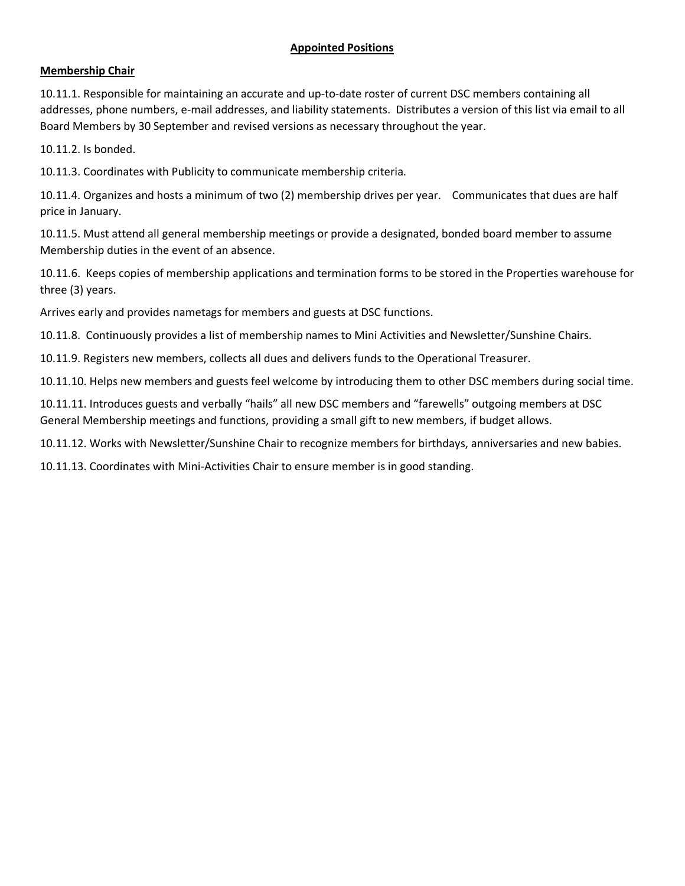# **Membership Chair**

10.11.1. Responsible for maintaining an accurate and up-to-date roster of current DSC members containing all addresses, phone numbers, e-mail addresses, and liability statements. Distributes a version of this list via email to all Board Members by 30 September and revised versions as necessary throughout the year.

10.11.2. Is bonded.

10.11.3. Coordinates with Publicity to communicate membership criteria.

10.11.4. Organizes and hosts a minimum of two (2) membership drives per year. Communicates that dues are half price in January.

10.11.5. Must attend all general membership meetings or provide a designated, bonded board member to assume Membership duties in the event of an absence.

10.11.6. Keeps copies of membership applications and termination forms to be stored in the Properties warehouse for three (3) years.

Arrives early and provides nametags for members and guests at DSC functions.

10.11.8. Continuously provides a list of membership names to Mini Activities and Newsletter/Sunshine Chairs.

10.11.9. Registers new members, collects all dues and delivers funds to the Operational Treasurer.

10.11.10. Helps new members and guests feel welcome by introducing them to other DSC members during social time.

10.11.11. Introduces guests and verbally "hails" all new DSC members and "farewells" outgoing members at DSC General Membership meetings and functions, providing a small gift to new members, if budget allows.

10.11.12. Works with Newsletter/Sunshine Chair to recognize members for birthdays, anniversaries and new babies.

10.11.13. Coordinates with Mini-Activities Chair to ensure member is in good standing.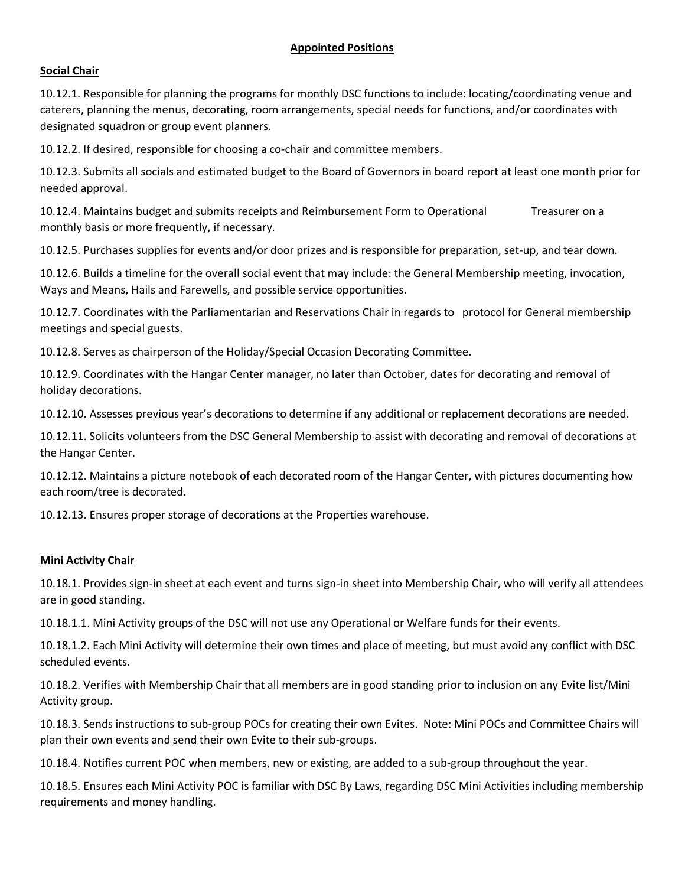# **Social Chair**

10.12.1. Responsible for planning the programs for monthly DSC functions to include: locating/coordinating venue and caterers, planning the menus, decorating, room arrangements, special needs for functions, and/or coordinates with designated squadron or group event planners.

10.12.2. If desired, responsible for choosing a co-chair and committee members.

10.12.3. Submits all socials and estimated budget to the Board of Governors in board report at least one month prior for needed approval.

10.12.4. Maintains budget and submits receipts and Reimbursement Form to Operational Treasurer on a monthly basis or more frequently, if necessary.

10.12.5. Purchases supplies for events and/or door prizes and is responsible for preparation, set-up, and tear down.

10.12.6. Builds a timeline for the overall social event that may include: the General Membership meeting, invocation, Ways and Means, Hails and Farewells, and possible service opportunities.

10.12.7. Coordinates with the Parliamentarian and Reservations Chair in regards to protocol for General membership meetings and special guests.

10.12.8. Serves as chairperson of the Holiday/Special Occasion Decorating Committee.

10.12.9. Coordinates with the Hangar Center manager, no later than October, dates for decorating and removal of holiday decorations.

10.12.10. Assesses previous year's decorations to determine if any additional or replacement decorations are needed.

10.12.11. Solicits volunteers from the DSC General Membership to assist with decorating and removal of decorations at the Hangar Center.

10.12.12. Maintains a picture notebook of each decorated room of the Hangar Center, with pictures documenting how each room/tree is decorated.

10.12.13. Ensures proper storage of decorations at the Properties warehouse.

### **Mini Activity Chair**

10.18.1. Provides sign-in sheet at each event and turns sign-in sheet into Membership Chair, who will verify all attendees are in good standing.

10.18.1.1. Mini Activity groups of the DSC will not use any Operational or Welfare funds for their events.

10.18.1.2. Each Mini Activity will determine their own times and place of meeting, but must avoid any conflict with DSC scheduled events.

10.18.2. Verifies with Membership Chair that all members are in good standing prior to inclusion on any Evite list/Mini Activity group.

10.18.3. Sends instructions to sub-group POCs for creating their own Evites. Note: Mini POCs and Committee Chairs will plan their own events and send their own Evite to their sub-groups.

10.18.4. Notifies current POC when members, new or existing, are added to a sub-group throughout the year.

10.18.5. Ensures each Mini Activity POC is familiar with DSC By Laws, regarding DSC Mini Activities including membership requirements and money handling.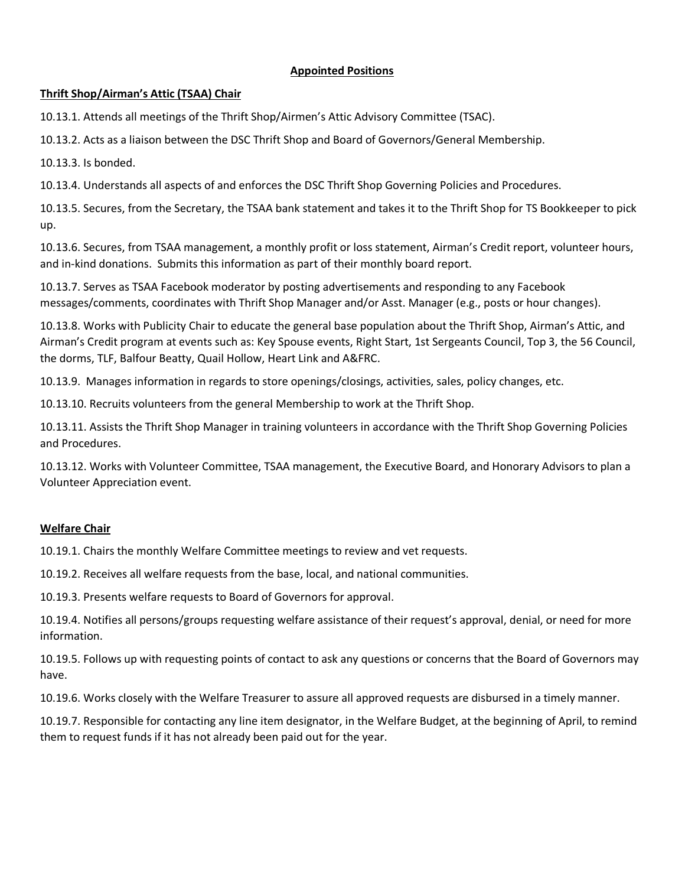# **Thrift Shop/Airman's Attic (TSAA) Chair**

10.13.1. Attends all meetings of the Thrift Shop/Airmen's Attic Advisory Committee (TSAC).

10.13.2. Acts as a liaison between the DSC Thrift Shop and Board of Governors/General Membership.

10.13.3. Is bonded.

10.13.4. Understands all aspects of and enforces the DSC Thrift Shop Governing Policies and Procedures.

10.13.5. Secures, from the Secretary, the TSAA bank statement and takes it to the Thrift Shop for TS Bookkeeper to pick up.

10.13.6. Secures, from TSAA management, a monthly profit or loss statement, Airman's Credit report, volunteer hours, and in-kind donations. Submits this information as part of their monthly board report.

10.13.7. Serves as TSAA Facebook moderator by posting advertisements and responding to any Facebook messages/comments, coordinates with Thrift Shop Manager and/or Asst. Manager (e.g., posts or hour changes).

10.13.8. Works with Publicity Chair to educate the general base population about the Thrift Shop, Airman's Attic, and Airman's Credit program at events such as: Key Spouse events, Right Start, 1st Sergeants Council, Top 3, the 56 Council, the dorms, TLF, Balfour Beatty, Quail Hollow, Heart Link and A&FRC.

10.13.9. Manages information in regards to store openings/closings, activities, sales, policy changes, etc.

10.13.10. Recruits volunteers from the general Membership to work at the Thrift Shop.

10.13.11. Assists the Thrift Shop Manager in training volunteers in accordance with the Thrift Shop Governing Policies and Procedures.

10.13.12. Works with Volunteer Committee, TSAA management, the Executive Board, and Honorary Advisors to plan a Volunteer Appreciation event.

# **Welfare Chair**

10.19.1. Chairs the monthly Welfare Committee meetings to review and vet requests.

10.19.2. Receives all welfare requests from the base, local, and national communities.

10.19.3. Presents welfare requests to Board of Governors for approval.

10.19.4. Notifies all persons/groups requesting welfare assistance of their request's approval, denial, or need for more information.

10.19.5. Follows up with requesting points of contact to ask any questions or concerns that the Board of Governors may have.

10.19.6. Works closely with the Welfare Treasurer to assure all approved requests are disbursed in a timely manner.

10.19.7. Responsible for contacting any line item designator, in the Welfare Budget, at the beginning of April, to remind them to request funds if it has not already been paid out for the year.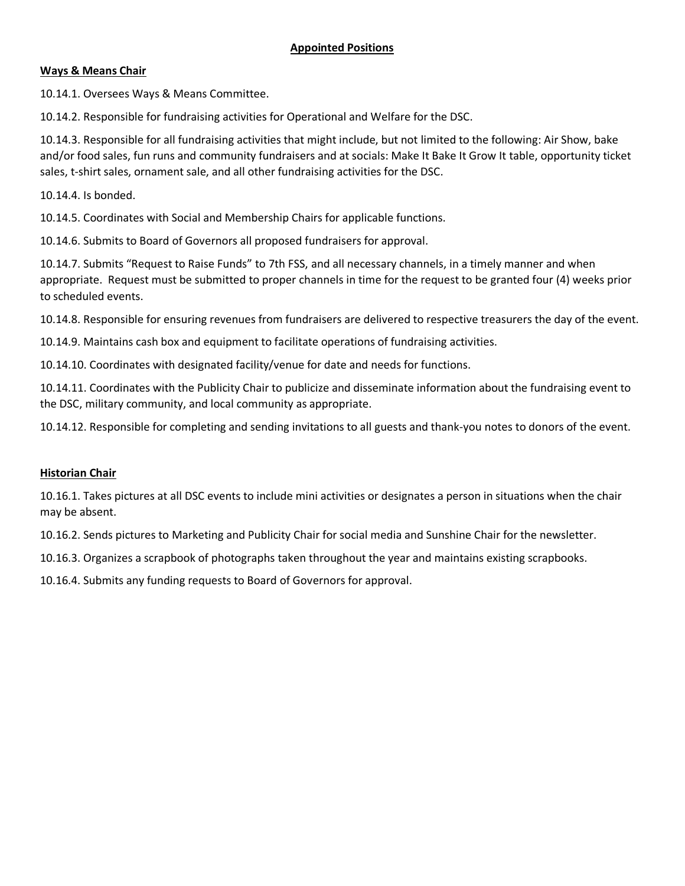### **Ways & Means Chair**

10.14.1. Oversees Ways & Means Committee.

10.14.2. Responsible for fundraising activities for Operational and Welfare for the DSC.

10.14.3. Responsible for all fundraising activities that might include, but not limited to the following: Air Show, bake and/or food sales, fun runs and community fundraisers and at socials: Make It Bake It Grow It table, opportunity ticket sales, t-shirt sales, ornament sale, and all other fundraising activities for the DSC.

10.14.4. Is bonded.

10.14.5. Coordinates with Social and Membership Chairs for applicable functions.

10.14.6. Submits to Board of Governors all proposed fundraisers for approval.

10.14.7. Submits "Request to Raise Funds" to 7th FSS, and all necessary channels, in a timely manner and when appropriate. Request must be submitted to proper channels in time for the request to be granted four (4) weeks prior to scheduled events.

10.14.8. Responsible for ensuring revenues from fundraisers are delivered to respective treasurers the day of the event.

10.14.9. Maintains cash box and equipment to facilitate operations of fundraising activities.

10.14.10. Coordinates with designated facility/venue for date and needs for functions.

10.14.11. Coordinates with the Publicity Chair to publicize and disseminate information about the fundraising event to the DSC, military community, and local community as appropriate.

10.14.12. Responsible for completing and sending invitations to all guests and thank-you notes to donors of the event.

### **Historian Chair**

10.16.1. Takes pictures at all DSC events to include mini activities or designates a person in situations when the chair may be absent.

10.16.2. Sends pictures to Marketing and Publicity Chair for social media and Sunshine Chair for the newsletter.

10.16.3. Organizes a scrapbook of photographs taken throughout the year and maintains existing scrapbooks.

10.16.4. Submits any funding requests to Board of Governors for approval.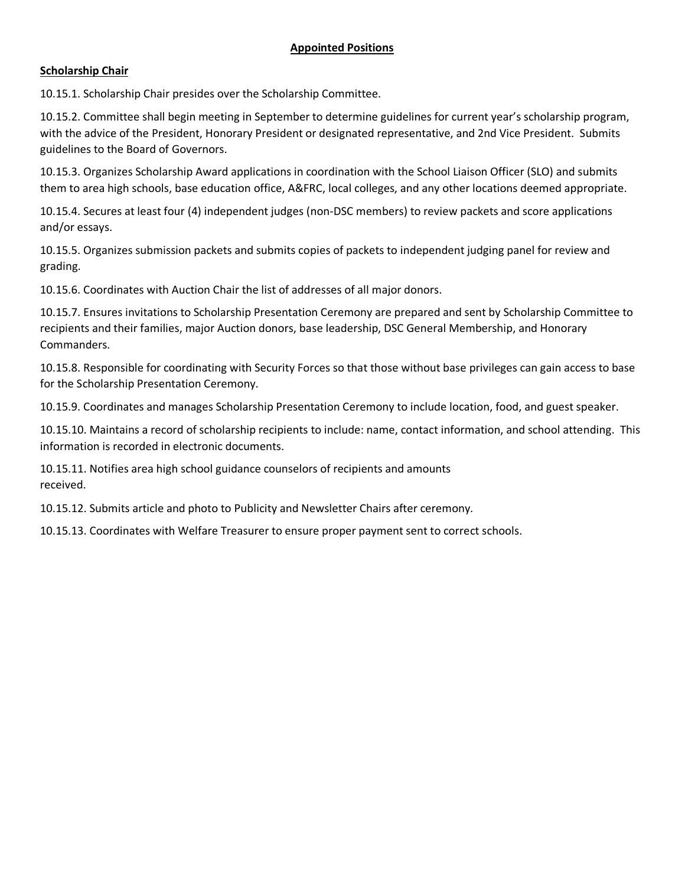# **Scholarship Chair**

10.15.1. Scholarship Chair presides over the Scholarship Committee.

10.15.2. Committee shall begin meeting in September to determine guidelines for current year's scholarship program, with the advice of the President, Honorary President or designated representative, and 2nd Vice President. Submits guidelines to the Board of Governors.

10.15.3. Organizes Scholarship Award applications in coordination with the School Liaison Officer (SLO) and submits them to area high schools, base education office, A&FRC, local colleges, and any other locations deemed appropriate.

10.15.4. Secures at least four (4) independent judges (non-DSC members) to review packets and score applications and/or essays.

10.15.5. Organizes submission packets and submits copies of packets to independent judging panel for review and grading.

10.15.6. Coordinates with Auction Chair the list of addresses of all major donors.

10.15.7. Ensures invitations to Scholarship Presentation Ceremony are prepared and sent by Scholarship Committee to recipients and their families, major Auction donors, base leadership, DSC General Membership, and Honorary Commanders.

10.15.8. Responsible for coordinating with Security Forces so that those without base privileges can gain access to base for the Scholarship Presentation Ceremony.

10.15.9. Coordinates and manages Scholarship Presentation Ceremony to include location, food, and guest speaker.

10.15.10. Maintains a record of scholarship recipients to include: name, contact information, and school attending. This information is recorded in electronic documents.

10.15.11. Notifies area high school guidance counselors of recipients and amounts received.

10.15.12. Submits article and photo to Publicity and Newsletter Chairs after ceremony.

10.15.13. Coordinates with Welfare Treasurer to ensure proper payment sent to correct schools.